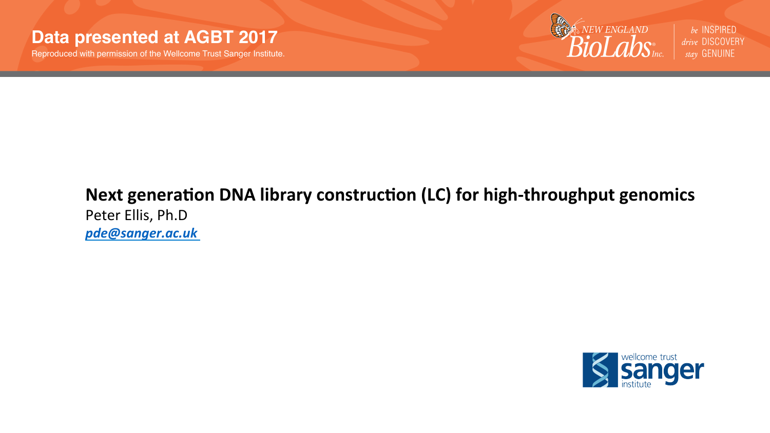#### **Data presented at AGBT 2017**

Reproduced with permission of the Wellcome Trust Sanger Institute.

**EXAMENGLAND**  $n$ 

be INSPIRED drive DISCOVERY stav GENUINE

#### Next generation DNA library construction (LC) for high-throughput genomics Peter Ellis, Ph.D *pde@sanger.ac.uk*

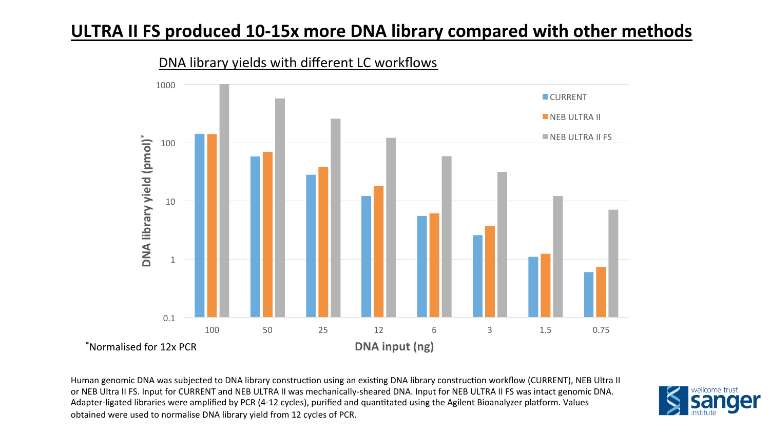## **ULTRA II FS produced 10-15x more DNA library compared with other methods**



DNA library yields with different LC workflows

Human genomic DNA was subjected to DNA library construction using an existing DNA library construction workflow (CURRENT), NEB Ultra II or NEB Ultra II FS. Input for CURRENT and NEB ULTRA II was mechanically-sheared DNA. Input for NEB ULTRA II FS was intact genomic DNA. Adapter-ligated libraries were amplified by PCR (4-12 cycles), purified and quantitated using the Agilent Bioanalyzer platform. Values obtained were used to normalise DNA library yield from 12 cycles of PCR.

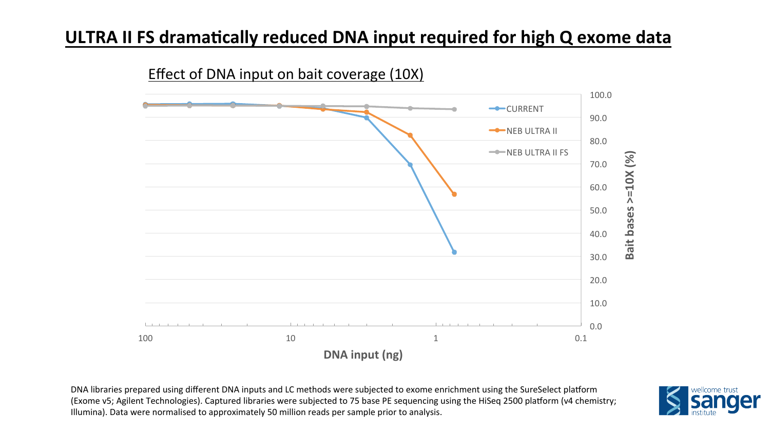## **ULTRA II FS dramatically reduced DNA input required for high Q exome data**



DNA libraries prepared using different DNA inputs and LC methods were subjected to exome enrichment using the SureSelect platform (Exome v5; Agilent Technologies). Captured libraries were subjected to 75 base PE sequencing using the HiSeq 2500 platform (v4 chemistry; Illumina). Data were normalised to approximately 50 million reads per sample prior to analysis.

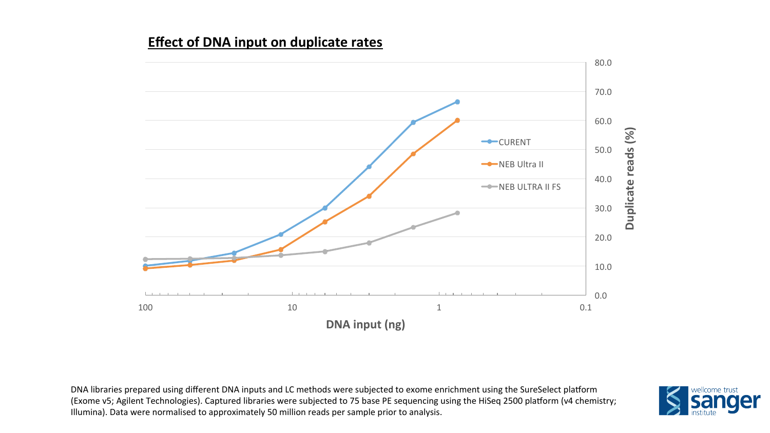#### **Effect of DNA input on duplicate rates**



DNA libraries prepared using different DNA inputs and LC methods were subjected to exome enrichment using the SureSelect platform (Exome v5; Agilent Technologies). Captured libraries were subjected to 75 base PE sequencing using the HiSeq 2500 platform (v4 chemistry; Illumina). Data were normalised to approximately 50 million reads per sample prior to analysis.

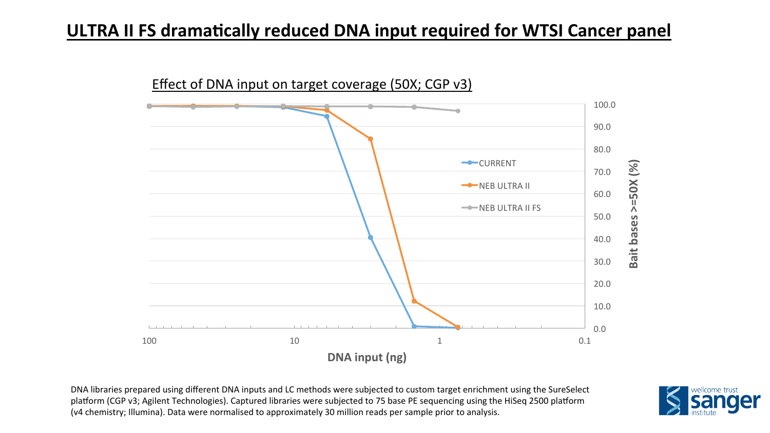## **ULTRA II FS dramatically reduced DNA input required for WTSI Cancer panel**



DNA libraries prepared using different DNA inputs and LC methods were subjected to custom target enrichment using the SureSelect platform (CGP v3; Agilent Technologies). Captured libraries were subjected to 75 base PE sequencing using the HiSeq 2500 platform (v4 chemistry; Illumina). Data were normalised to approximately 30 million reads per sample prior to analysis.

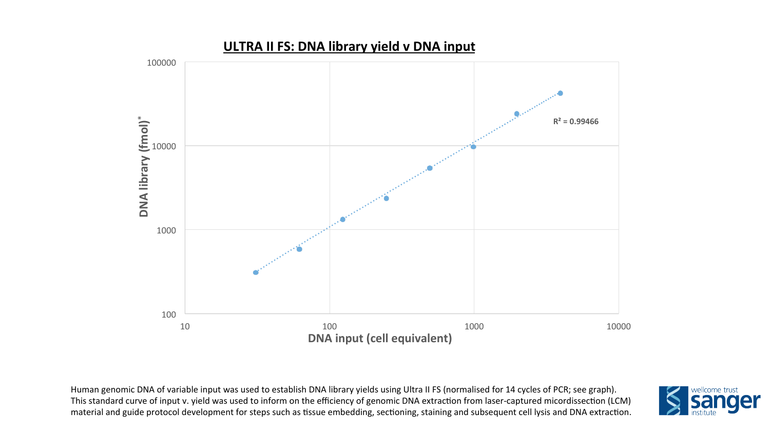

Human genomic DNA of variable input was used to establish DNA library yields using Ultra II FS (normalised for 14 cycles of PCR; see graph). This standard curve of input v. yield was used to inform on the efficiency of genomic DNA extraction from laser-captured micordissection (LCM) material and guide protocol development for steps such as tissue embedding, sectioning, staining and subsequent cell lysis and DNA extraction.